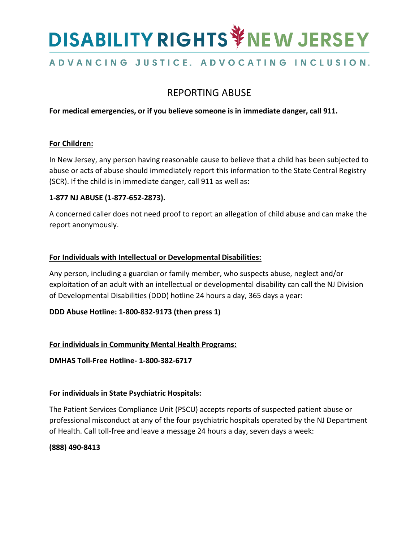# **DISABILITY RIGHTS VIEW JERSEY**

## ADVANCING JUSTICE. ADVOCATING INCLUSION.

## REPORTING ABUSE

**For medical emergencies, or if you believe someone is in immediate danger, call 911.**

#### **For Children:**

In New Jersey, any person having reasonable cause to believe that a child has been subjected to abuse or acts of abuse should immediately report this information to the State Central Registry (SCR). If the child is in immediate danger, call 911 as well as:

### **1-877 NJ ABUSE (1-877-652-2873).**

A concerned caller does not need proof to report an allegation of child abuse and can make the report anonymously.

#### **For Individuals with Intellectual or Developmental Disabilities:**

Any person, including a guardian or family member, who suspects abuse, neglect and/or exploitation of an adult with an intellectual or developmental disability can call the NJ Division of Developmental Disabilities (DDD) hotline 24 hours a day, 365 days a year:

### **DDD Abuse Hotline: 1-800-832-9173 (then press 1)**

### **For individuals in Community Mental Health Programs:**

**DMHAS Toll-Free Hotline- 1-800-382-6717**

#### **For individuals in State Psychiatric Hospitals:**

The Patient Services Compliance Unit (PSCU) accepts reports of suspected patient abuse or professional misconduct at any of the four psychiatric hospitals operated by the NJ Department of Health. Call toll-free and leave a message 24 hours a day, seven days a week:

#### **(888) 490-8413**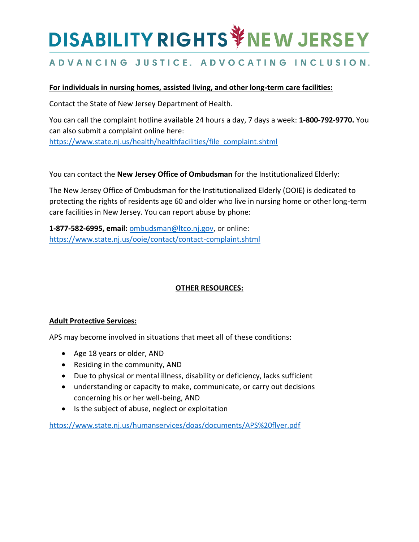# **DISABILITY RIGHTS VIEW JERSEY**

## ADVANCING JUSTICE. ADVOCATING INCLUSION.

#### **For individuals in nursing homes, assisted living, and other long-term care facilities:**

Contact the State of New Jersey Department of Health.

You can call the complaint hotline available 24 hours a day, 7 days a week: **1-800-792-9770.** You can also submit a complaint online here: [https://www.state.nj.us/health/healthfacilities/file\\_complaint.shtml](https://www.state.nj.us/health/healthfacilities/file_complaint.shtml)

You can contact the **New Jersey Office of Ombudsman** for the Institutionalized Elderly:

The New Jersey Office of Ombudsman for the Institutionalized Elderly (OOIE) is dedicated to protecting the rights of residents age 60 and older who live in nursing home or other long-term care facilities in New Jersey. You can report abuse by phone:

**1-877-582-6995, email:** [ombudsman@ltco.nj.gov,](mailto:ombudsman@ltco.nj.gov) or online: <https://www.state.nj.us/ooie/contact/contact-complaint.shtml>

#### **OTHER RESOURCES:**

#### **Adult Protective Services:**

APS may become involved in situations that meet all of these conditions:

- Age 18 years or older, AND
- Residing in the community, AND
- Due to physical or mental illness, disability or deficiency, lacks sufficient
- understanding or capacity to make, communicate, or carry out decisions concerning his or her well-being, AND
- Is the subject of abuse, neglect or exploitation

<https://www.state.nj.us/humanservices/doas/documents/APS%20flyer.pdf>